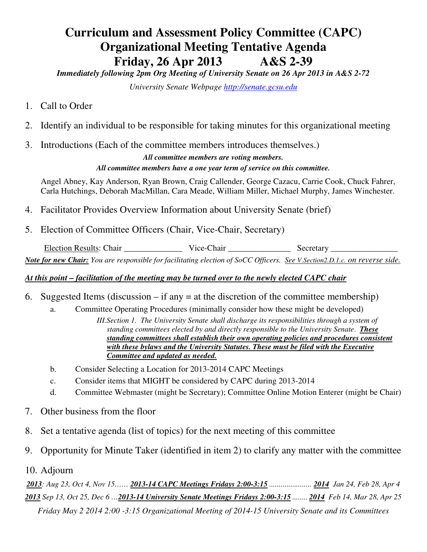# **Curriculum and Assessment Policy Committee (CAPC) Organizational Meeting Tentative Agenda Friday, 26 Apr 2013 A&S 2-39**

*Immediately following 2pm Org Meeting of University Senate on 26 Apr 2013 in A&S 2-72* 

*University Senate Webpage http://senate.gcsu.edu* 

- 1. Call to Order
- 2. Identify an individual to be responsible for taking minutes for this organizational meeting
- 3. Introductions (Each of the committee members introduces themselves.)

*All committee members are voting members. All committee members have a one year term of service on this committee.* 

Angel Abney, Kay Anderson, Ryan Brown, Craig Callender, George Cazacu, Carrie Cook, Chuck Fahrer, Carla Hutchings, Deborah MacMillan, Cara Meade, William Miller, Michael Murphy, James Winchester.

- 4. Facilitator Provides Overview Information about University Senate (brief)
- 5. Election of Committee Officers (Chair, Vice-Chair, Secretary)

Election Results: Chair **Wice-Chair Wice-Chair** Secretary *Note for new Chair: You are responsible for facilitating election of SoCC Officers. See V.Section2.D.1.c. on reverse side.*

## *At this point – facilitation of the meeting may be turned over to the newly elected CAPC chair*

- 6. Suggested Items (discussion if any  $=$  at the discretion of the committee membership)
	- a. Committee Operating Procedures (minimally consider how these might be developed)
		- *III.Section 1. The University Senate shall discharge its responsibilities through a system of standing committees elected by and directly responsible to the University Senate*. *These standing committees shall establish their own operating policies and procedures consistent with these bylaws and the University Statutes. These must be filed with the Executive Committee and updated as needed.*
		- b. Consider Selecting a Location for 2013-2014 CAPC Meetings
		- c. Consider items that MIGHT be considered by CAPC during 2013-2014
		- d. Committee Webmaster (might be Secretary); Committee Online Motion Enterer (might be Chair)
- 7. Other business from the floor
- 8. Set a tentative agenda (list of topics) for the next meeting of this committee
- 9. Opportunity for Minute Taker (identified in item 2) to clarify any matter with the committee
- 10. Adjourn

*2013: Aug 23, Oct 4, Nov 15…… 2013-14 CAPC Meetings Fridays 2:00-3:15 ...................... 2014 Jan 24, Feb 28, Apr 4 2013 Sep 13, Oct 25, Dec 6 …2013-14 University Senate Meetings Fridays 2:00-3:15 ........ 2014 Feb 14, Mar 28, Apr 25 Friday May 2 2014 2:00 -3:15 Organizational Meeting of 2014-15 University Senate and its Committees*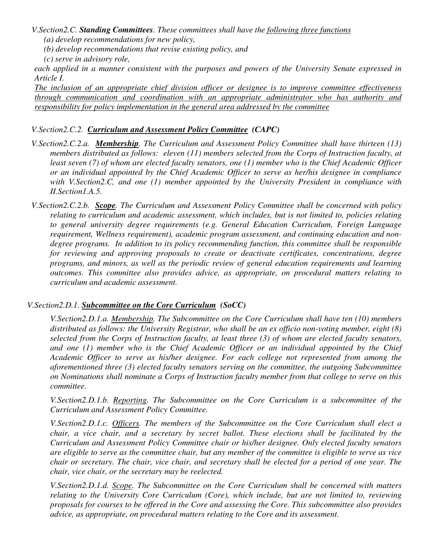*V.Section2.C. Standing Committees. These committees shall have the following three functions* 

- *(a) develop recommendations for new policy,*
- *(b) develop recommendations that revise existing policy, and*
- *(c) serve in advisory role,*

*each applied in a manner consistent with the purposes and powers of the University Senate expressed in Article I.* 

*The inclusion of an appropriate chief division officer or designee is to improve committee effectiveness through communication and coordination with an appropriate administrator who has authority and responsibility for policy implementation in the general area addressed by the committee* 

### *V.Section2.C.2. Curriculum and Assessment Policy Committee (CAPC)*

- *V.Section2.C.2.a. Membership. The Curriculum and Assessment Policy Committee shall have thirteen (13) members distributed as follows: eleven (11) members selected from the Corps of Instruction faculty, at least seven (7) of whom are elected faculty senators, one (1) member who is the Chief Academic Officer or an individual appointed by the Chief Academic Officer to serve as her/his designee in compliance with V.Section2.C, and one (1) member appointed by the University President in compliance with II.Section1.A.5.*
- *V.Section2.C.2.b. Scope. The Curriculum and Assessment Policy Committee shall be concerned with policy relating to curriculum and academic assessment, which includes, but is not limited to, policies relating to general university degree requirements (e.g. General Education Curriculum, Foreign Language requirement, Wellness requirement), academic program assessment, and continuing education and nondegree programs. In addition to its policy recommending function, this committee shall be responsible for reviewing and approving proposals to create or deactivate certificates, concentrations, degree programs, and minors, as well as the periodic review of general education requirements and learning outcomes. This committee also provides advice, as appropriate, on procedural matters relating to curriculum and academic assessment.*

### *V.Section2.D.1. Subcommittee on the Core Curriculum (SoCC)*

*V.Section2.D.1.a. Membership. The Subcommittee on the Core Curriculum shall have ten (10) members distributed as follows: the University Registrar, who shall be an ex officio non-voting member, eight (8) selected from the Corps of Instruction faculty, at least three (3) of whom are elected faculty senators,*  and one (1) member who is the Chief Academic Officer or an individual appointed by the Chief *Academic Officer to serve as his/her designee. For each college not represented from among the aforementioned three (3) elected faculty senators serving on the committee, the outgoing Subcommittee on Nominations shall nominate a Corps of Instruction faculty member from that college to serve on this committee.* 

*V.Section2.D.1.b. Reporting. The Subcommittee on the Core Curriculum is a subcommittee of the Curriculum and Assessment Policy Committee.* 

*V.Section2.D.1.c. Officers. The members of the Subcommittee on the Core Curriculum shall elect a chair, a vice chair, and a secretary by secret ballot. These elections shall be facilitated by the Curriculum and Assessment Policy Committee chair or his/her designee. Only elected faculty senators are eligible to serve as the committee chair, but any member of the committee is eligible to serve as vice chair or secretary. The chair, vice chair, and secretary shall be elected for a period of one year. The chair, vice chair, or the secretary may be reelected.* 

*V.Section2.D.1.d. Scope. The Subcommittee on the Core Curriculum shall be concerned with matters relating to the University Core Curriculum (Core), which include, but are not limited to, reviewing proposals for courses to be offered in the Core and assessing the Core. This subcommittee also provides advice, as appropriate, on procedural matters relating to the Core and its assessment*.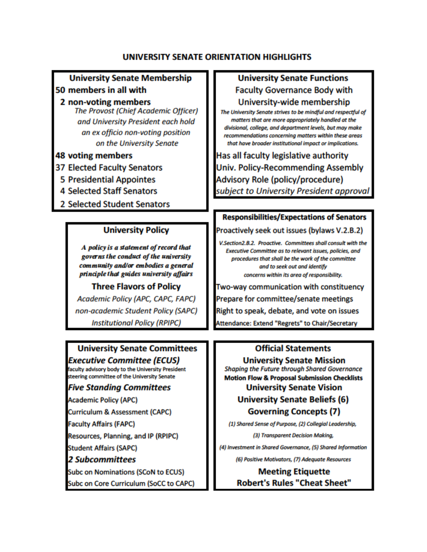### UNIVERSITY SENATE ORIENTATION HIGHLIGHTS

### **University Senate Membership**

### 50 members in all with

2 non-voting members **The Provost (Chief Academic Officer)** and University President each hold an ex officio non-voting position on the University Senate

### **48 voting members**

- **37 Elected Faculty Senators**
- **5 Presidential Appointes**
- **4 Selected Staff Senators**
- 2 Selected Student Senators

### **University Policy**

A policy is a statement of record that governs the conduct of the university community and/or embodies a general principle that guides university affairs

**Three Flavors of Policy** Academic Policy (APC, CAPC, FAPC) non-academic Student Policy (SAPC)

**Institutional Policy (RPIPC)** 

# **University Senate Committees**

**Executive Committee (ECUS)** faculty advisory body to the University President steering committee of the University Senate

### **Five Standing Committees**

**Academic Policy (APC)** 

Curriculum & Assessment (CAPC)

**Faculty Affairs (FAPC)** 

Resources, Planning, and IP (RPIPC)

**Student Affairs (SAPC)** 

### **2 Subcommittees**

**Subc on Nominations (SCoN to ECUS)** 

Subc on Core Curriculum (SoCC to CAPC)

### **University Senate Functions**

**Faculty Governance Body with** University-wide membership

The University Senate strives to be mindful and respectful of matters that are more appropriately handled at the divisional, college, and department levels, but may make recommendations concerning matters within these areas that have broader institutional impact or implications.

Has all faculty legislative authority **Univ. Policy-Recommending Assembly** Advisory Role (policy/procedure) subject to University President approval

### **Responsibilities/Expectations of Senators**

Proactively seek out issues (bylaws V.2.B.2)

V.Section2.B.2. Proactive. Committees shall consult with the Executive Committee as to relevant issues, policies, and procedures that shall be the work of the committee and to seek out and identify concerns within its area of responsibility.

Two-way communication with constituency Prepare for committee/senate meetings Right to speak, debate, and vote on issues Attendance: Extend "Regrets" to Chair/Secretary

### **Official Statements**

**University Senate Mission** Shaping the Future through Shared Governance **Motion Flow & Proposal Submission Checklists University Senate Vision** 

**University Senate Beliefs (6)** 

**Governing Concepts (7)** 

(1) Shared Sense of Purpose, (2) Collegial Leadership,

(3) Transparent Decision Making,

(4) Investment in Shared Governance, (5) Shared Information

(6) Positive Motivators, (7) Adequate Resources

**Meeting Etiquette Robert's Rules "Cheat Sheet"**